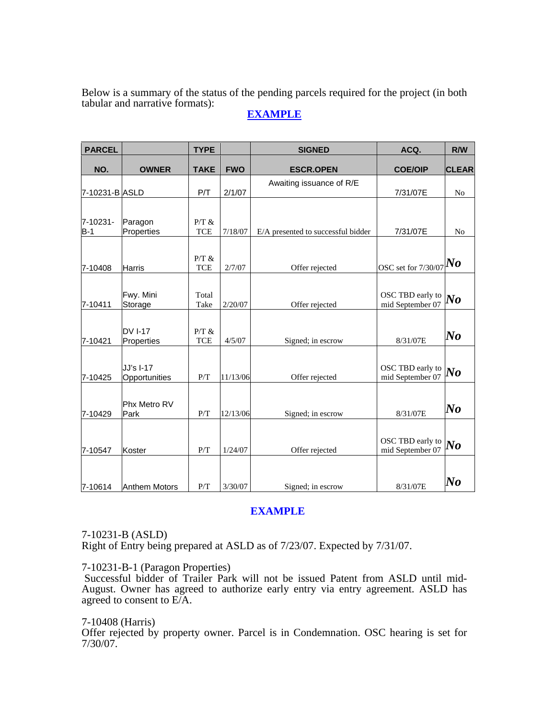Below is a summary of the status of the pending parcels required for the project (in both tabular and narrative formats):

# **EXAMPLE**

| <b>PARCEL</b>  |                      | <b>TYPE</b> |            | <b>SIGNED</b>                      | ACQ.                | R/W            |
|----------------|----------------------|-------------|------------|------------------------------------|---------------------|----------------|
| NO.            | <b>OWNER</b>         | <b>TAKE</b> | <b>FWO</b> | <b>ESCR.OPEN</b>                   | <b>COE/OIP</b>      | <b>CLEAR</b>   |
|                |                      |             |            | Awaiting issuance of R/E           |                     |                |
| 7-10231-B ASLD |                      | P/T         | 2/1/07     |                                    | 7/31/07E            | N <sub>o</sub> |
|                |                      |             |            |                                    |                     |                |
| 7-10231-       | Paragon              | P/T &       |            |                                    |                     |                |
| $B-1$          | Properties           | <b>TCE</b>  | 7/18/07    | E/A presented to successful bidder | 7/31/07E            | N <sub>o</sub> |
|                |                      |             |            |                                    |                     |                |
|                |                      | P/T &       |            |                                    |                     | No             |
| 7-10408        | <b>Harris</b>        | <b>TCE</b>  | 2/7/07     | Offer rejected                     | OSC set for 7/30/07 |                |
|                |                      |             |            |                                    |                     |                |
|                | Fwy. Mini            | Total       |            |                                    | OSC TBD early to    | $\bm{No}$      |
| 7-10411        | Storage              | Take        | 2/20/07    | Offer rejected                     | mid September 07    |                |
|                |                      |             |            |                                    |                     |                |
|                | <b>DV I-17</b>       | P/T &       |            |                                    |                     | $\bm{No}$      |
| 7-10421        | Properties           | <b>TCE</b>  | 4/5/07     | Signed; in escrow                  | 8/31/07E            |                |
|                |                      |             |            |                                    |                     |                |
|                | JJ's I-17            |             |            |                                    | OSC TBD early to    | $\bm{No}$      |
| 7-10425        | Opportunities        | P/T         | 11/13/06   | Offer rejected                     | mid September 07    |                |
|                |                      |             |            |                                    |                     |                |
|                | Phx Metro RV         |             |            |                                    |                     |                |
| 7-10429        | Park                 | P/T         | 12/13/06   | Signed; in escrow                  | 8/31/07E            | $\bm{No}$      |
|                |                      |             |            |                                    |                     |                |
|                |                      |             |            |                                    | OSC TBD early to    |                |
| 7-10547        | Koster               | P/T         | 1/24/07    | Offer rejected                     | mid September 07    | $\bm{No}$      |
|                |                      |             |            |                                    |                     |                |
|                |                      |             |            |                                    |                     |                |
| 7-10614        | <b>Anthem Motors</b> | P/T         | 3/30/07    | Signed; in escrow                  | 8/31/07E            | $\bm{No}$      |

# **EXAMPLE**

7-10231-B (ASLD) Right of Entry being prepared at ASLD as of 7/23/07. Expected by 7/31/07.

7-10231-B-1 (Paragon Properties)

 Successful bidder of Trailer Park will not be issued Patent from ASLD until mid-August. Owner has agreed to authorize early entry via entry agreement. ASLD has agreed to consent to E/A.

7-10408 (Harris)

Offer rejected by property owner. Parcel is in Condemnation. OSC hearing is set for 7/30/07.